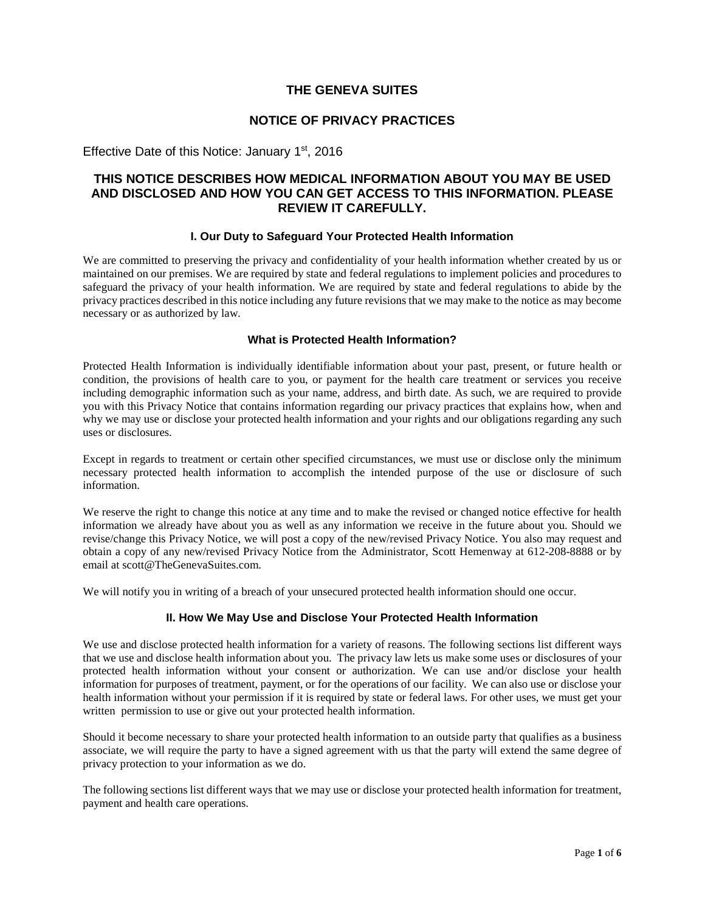## **THE GENEVA SUITES**

## **NOTICE OF PRIVACY PRACTICES**

Effective Date of this Notice: January  $1<sup>st</sup>$ , 2016

## **THIS NOTICE DESCRIBES HOW MEDICAL INFORMATION ABOUT YOU MAY BE USED AND DISCLOSED AND HOW YOU CAN GET ACCESS TO THIS INFORMATION. PLEASE REVIEW IT CAREFULLY.**

## **I. Our Duty to Safeguard Your Protected Health Information**

We are committed to preserving the privacy and confidentiality of your health information whether created by us or maintained on our premises. We are required by state and federal regulations to implement policies and procedures to safeguard the privacy of your health information. We are required by state and federal regulations to abide by the privacy practices described in this notice including any future revisions that we may make to the notice as may become necessary or as authorized by law.

## **What is Protected Health Information?**

Protected Health Information is individually identifiable information about your past, present, or future health or condition, the provisions of health care to you, or payment for the health care treatment or services you receive including demographic information such as your name, address, and birth date. As such, we are required to provide you with this Privacy Notice that contains information regarding our privacy practices that explains how, when and why we may use or disclose your protected health information and your rights and our obligations regarding any such uses or disclosures.

Except in regards to treatment or certain other specified circumstances, we must use or disclose only the minimum necessary protected health information to accomplish the intended purpose of the use or disclosure of such information.

We reserve the right to change this notice at any time and to make the revised or changed notice effective for health information we already have about you as well as any information we receive in the future about you. Should we revise/change this Privacy Notice, we will post a copy of the new/revised Privacy Notice. You also may request and obtain a copy of any new/revised Privacy Notice from the Administrator, Scott Hemenway at 612-208-8888 or by email at scott@TheGenevaSuites.com.

We will notify you in writing of a breach of your unsecured protected health information should one occur.

## **II. How We May Use and Disclose Your Protected Health Information**

We use and disclose protected health information for a variety of reasons. The following sections list different ways that we use and disclose health information about you. The privacy law lets us make some uses or disclosures of your protected health information without your consent or authorization. We can use and/or disclose your health information for purposes of treatment, payment, or for the operations of our facility. We can also use or disclose your health information without your permission if it is required by state or federal laws. For other uses, we must get your written permission to use or give out your protected health information.

Should it become necessary to share your protected health information to an outside party that qualifies as a business associate, we will require the party to have a signed agreement with us that the party will extend the same degree of privacy protection to your information as we do.

The following sections list different ways that we may use or disclose your protected health information for treatment, payment and health care operations.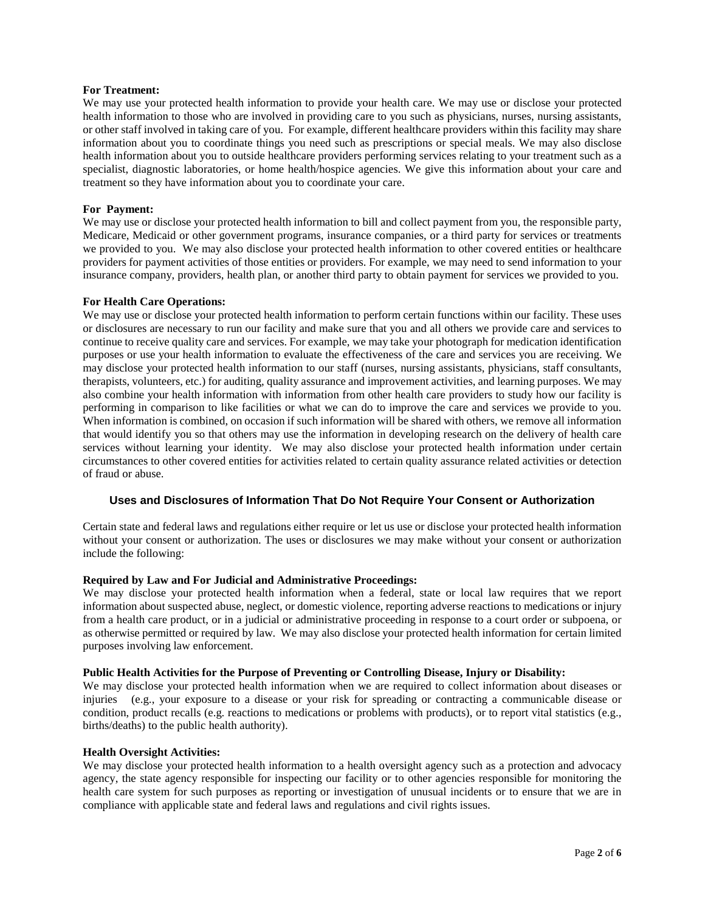## **For Treatment:**

We may use your protected health information to provide your health care. We may use or disclose your protected health information to those who are involved in providing care to you such as physicians, nurses, nursing assistants, or other staff involved in taking care of you. For example, different healthcare providers within this facility may share information about you to coordinate things you need such as prescriptions or special meals. We may also disclose health information about you to outside healthcare providers performing services relating to your treatment such as a specialist, diagnostic laboratories, or home health/hospice agencies. We give this information about your care and treatment so they have information about you to coordinate your care.

#### **For Payment:**

We may use or disclose your protected health information to bill and collect payment from you, the responsible party, Medicare, Medicaid or other government programs, insurance companies, or a third party for services or treatments we provided to you. We may also disclose your protected health information to other covered entities or healthcare providers for payment activities of those entities or providers. For example, we may need to send information to your insurance company, providers, health plan, or another third party to obtain payment for services we provided to you.

#### **For Health Care Operations:**

We may use or disclose your protected health information to perform certain functions within our facility. These uses or disclosures are necessary to run our facility and make sure that you and all others we provide care and services to continue to receive quality care and services. For example, we may take your photograph for medication identification purposes or use your health information to evaluate the effectiveness of the care and services you are receiving. We may disclose your protected health information to our staff (nurses, nursing assistants, physicians, staff consultants, therapists, volunteers, etc.) for auditing, quality assurance and improvement activities, and learning purposes. We may also combine your health information with information from other health care providers to study how our facility is performing in comparison to like facilities or what we can do to improve the care and services we provide to you. When information is combined, on occasion if such information will be shared with others, we remove all information that would identify you so that others may use the information in developing research on the delivery of health care services without learning your identity. We may also disclose your protected health information under certain circumstances to other covered entities for activities related to certain quality assurance related activities or detection of fraud or abuse.

## **Uses and Disclosures of Information That Do Not Require Your Consent or Authorization**

Certain state and federal laws and regulations either require or let us use or disclose your protected health information without your consent or authorization. The uses or disclosures we may make without your consent or authorization include the following:

## **Required by Law and For Judicial and Administrative Proceedings:**

We may disclose your protected health information when a federal, state or local law requires that we report information about suspected abuse, neglect, or domestic violence, reporting adverse reactions to medications or injury from a health care product, or in a judicial or administrative proceeding in response to a court order or subpoena, or as otherwise permitted or required by law. We may also disclose your protected health information for certain limited purposes involving law enforcement.

## **Public Health Activities for the Purpose of Preventing or Controlling Disease, Injury or Disability:**

We may disclose your protected health information when we are required to collect information about diseases or injuries (e.g., your exposure to a disease or your risk for spreading or contracting a communicable disease or condition, product recalls (e.g. reactions to medications or problems with products), or to report vital statistics (e.g., births/deaths) to the public health authority).

#### **Health Oversight Activities:**

We may disclose your protected health information to a health oversight agency such as a protection and advocacy agency, the state agency responsible for inspecting our facility or to other agencies responsible for monitoring the health care system for such purposes as reporting or investigation of unusual incidents or to ensure that we are in compliance with applicable state and federal laws and regulations and civil rights issues.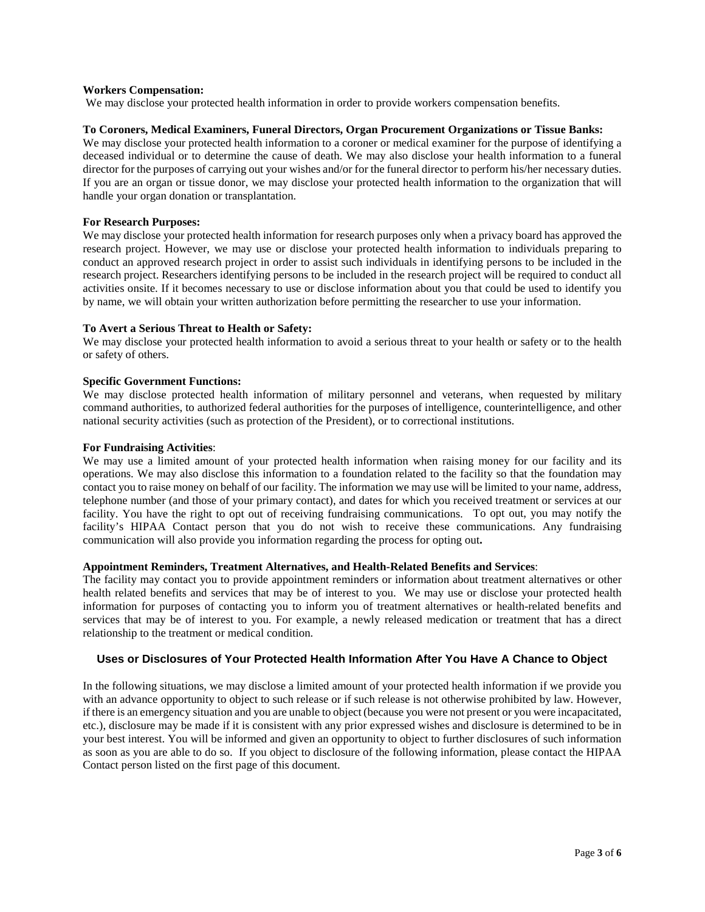## **Workers Compensation:**

We may disclose your protected health information in order to provide workers compensation benefits.

## **To Coroners, Medical Examiners, Funeral Directors, Organ Procurement Organizations or Tissue Banks:**

We may disclose your protected health information to a coroner or medical examiner for the purpose of identifying a deceased individual or to determine the cause of death. We may also disclose your health information to a funeral director for the purposes of carrying out your wishes and/or for the funeral director to perform his/her necessary duties. If you are an organ or tissue donor, we may disclose your protected health information to the organization that will handle your organ donation or transplantation.

## **For Research Purposes:**

We may disclose your protected health information for research purposes only when a privacy board has approved the research project. However, we may use or disclose your protected health information to individuals preparing to conduct an approved research project in order to assist such individuals in identifying persons to be included in the research project. Researchers identifying persons to be included in the research project will be required to conduct all activities onsite. If it becomes necessary to use or disclose information about you that could be used to identify you by name, we will obtain your written authorization before permitting the researcher to use your information.

## **To Avert a Serious Threat to Health or Safety:**

We may disclose your protected health information to avoid a serious threat to your health or safety or to the health or safety of others.

## **Specific Government Functions:**

We may disclose protected health information of military personnel and veterans, when requested by military command authorities, to authorized federal authorities for the purposes of intelligence, counterintelligence, and other national security activities (such as protection of the President), or to correctional institutions.

## **For Fundraising Activities**:

We may use a limited amount of your protected health information when raising money for our facility and its operations. We may also disclose this information to a foundation related to the facility so that the foundation may contact you to raise money on behalf of our facility. The information we may use will be limited to your name, address, telephone number (and those of your primary contact), and dates for which you received treatment or services at our facility. You have the right to opt out of receiving fundraising communications. To opt out, you may notify the facility's HIPAA Contact person that you do not wish to receive these communications. Any fundraising communication will also provide you information regarding the process for opting out**.**

## **Appointment Reminders, Treatment Alternatives, and Health-Related Benefits and Services**:

The facility may contact you to provide appointment reminders or information about treatment alternatives or other health related benefits and services that may be of interest to you. We may use or disclose your protected health information for purposes of contacting you to inform you of treatment alternatives or health-related benefits and services that may be of interest to you. For example, a newly released medication or treatment that has a direct relationship to the treatment or medical condition.

## **Uses or Disclosures of Your Protected Health Information After You Have A Chance to Object**

In the following situations, we may disclose a limited amount of your protected health information if we provide you with an advance opportunity to object to such release or if such release is not otherwise prohibited by law. However, if there is an emergency situation and you are unable to object (because you were not present or you were incapacitated, etc.), disclosure may be made if it is consistent with any prior expressed wishes and disclosure is determined to be in your best interest. You will be informed and given an opportunity to object to further disclosures of such information as soon as you are able to do so. If you object to disclosure of the following information, please contact the HIPAA Contact person listed on the first page of this document.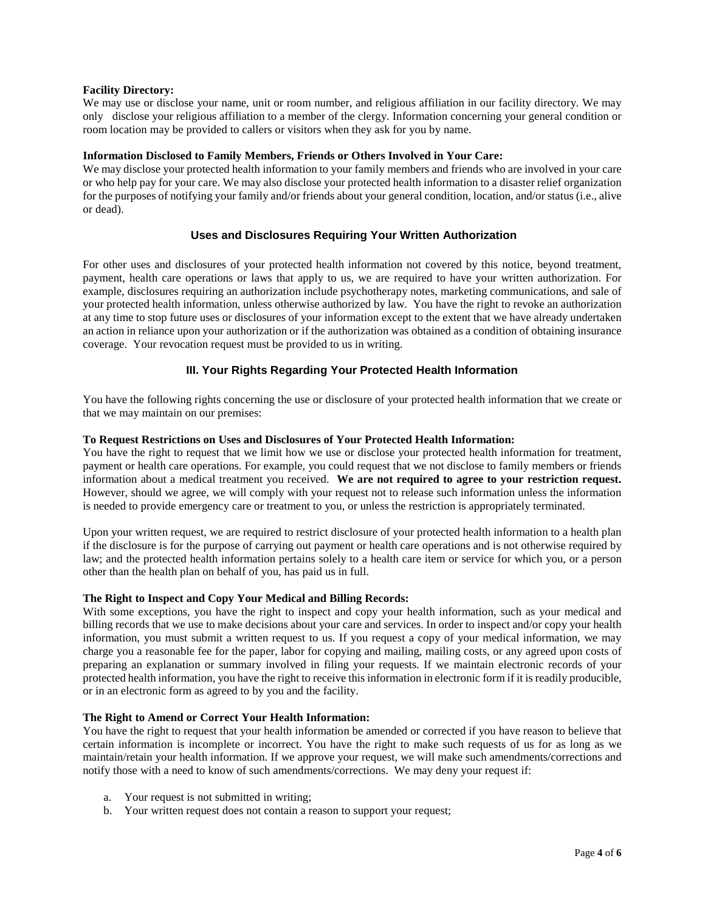## **Facility Directory:**

We may use or disclose your name, unit or room number, and religious affiliation in our facility directory. We may only disclose your religious affiliation to a member of the clergy. Information concerning your general condition or room location may be provided to callers or visitors when they ask for you by name.

## **Information Disclosed to Family Members, Friends or Others Involved in Your Care:**

We may disclose your protected health information to your family members and friends who are involved in your care or who help pay for your care. We may also disclose your protected health information to a disaster relief organization for the purposes of notifying your family and/or friends about your general condition, location, and/or status (i.e., alive or dead).

## **Uses and Disclosures Requiring Your Written Authorization**

For other uses and disclosures of your protected health information not covered by this notice, beyond treatment, payment, health care operations or laws that apply to us, we are required to have your written authorization. For example, disclosures requiring an authorization include psychotherapy notes, marketing communications, and sale of your protected health information, unless otherwise authorized by law. You have the right to revoke an authorization at any time to stop future uses or disclosures of your information except to the extent that we have already undertaken an action in reliance upon your authorization or if the authorization was obtained as a condition of obtaining insurance coverage. Your revocation request must be provided to us in writing.

## **III. Your Rights Regarding Your Protected Health Information**

You have the following rights concerning the use or disclosure of your protected health information that we create or that we may maintain on our premises:

## **To Request Restrictions on Uses and Disclosures of Your Protected Health Information:**

You have the right to request that we limit how we use or disclose your protected health information for treatment, payment or health care operations. For example, you could request that we not disclose to family members or friends information about a medical treatment you received. **We are not required to agree to your restriction request.** However, should we agree, we will comply with your request not to release such information unless the information is needed to provide emergency care or treatment to you, or unless the restriction is appropriately terminated.

Upon your written request, we are required to restrict disclosure of your protected health information to a health plan if the disclosure is for the purpose of carrying out payment or health care operations and is not otherwise required by law; and the protected health information pertains solely to a health care item or service for which you, or a person other than the health plan on behalf of you, has paid us in full.

## **The Right to Inspect and Copy Your Medical and Billing Records:**

With some exceptions, you have the right to inspect and copy your health information, such as your medical and billing records that we use to make decisions about your care and services. In order to inspect and/or copy your health information, you must submit a written request to us. If you request a copy of your medical information, we may charge you a reasonable fee for the paper, labor for copying and mailing, mailing costs, or any agreed upon costs of preparing an explanation or summary involved in filing your requests. If we maintain electronic records of your protected health information, you have the right to receive this information in electronic form if it is readily producible, or in an electronic form as agreed to by you and the facility.

## **The Right to Amend or Correct Your Health Information:**

You have the right to request that your health information be amended or corrected if you have reason to believe that certain information is incomplete or incorrect. You have the right to make such requests of us for as long as we maintain/retain your health information. If we approve your request, we will make such amendments/corrections and notify those with a need to know of such amendments/corrections. We may deny your request if:

- a. Your request is not submitted in writing;
- b. Your written request does not contain a reason to support your request;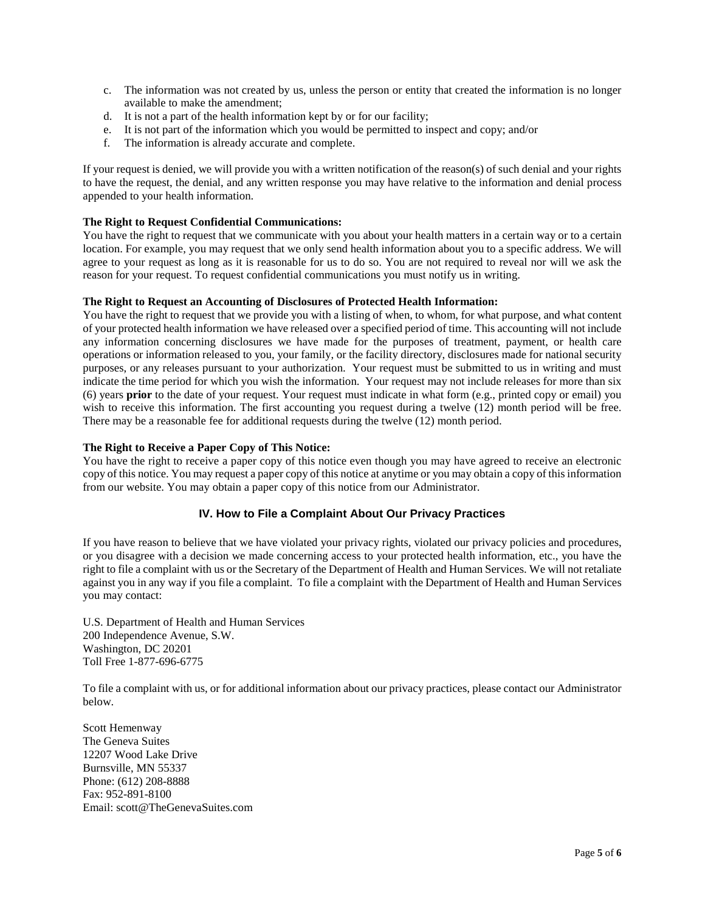- c. The information was not created by us, unless the person or entity that created the information is no longer available to make the amendment;
- d. It is not a part of the health information kept by or for our facility;
- e. It is not part of the information which you would be permitted to inspect and copy; and/or
- f. The information is already accurate and complete.

If your request is denied, we will provide you with a written notification of the reason(s) of such denial and your rights to have the request, the denial, and any written response you may have relative to the information and denial process appended to your health information.

## **The Right to Request Confidential Communications:**

You have the right to request that we communicate with you about your health matters in a certain way or to a certain location. For example, you may request that we only send health information about you to a specific address. We will agree to your request as long as it is reasonable for us to do so. You are not required to reveal nor will we ask the reason for your request. To request confidential communications you must notify us in writing.

## **The Right to Request an Accounting of Disclosures of Protected Health Information:**

You have the right to request that we provide you with a listing of when, to whom, for what purpose, and what content of your protected health information we have released over a specified period of time. This accounting will not include any information concerning disclosures we have made for the purposes of treatment, payment, or health care operations or information released to you, your family, or the facility directory, disclosures made for national security purposes, or any releases pursuant to your authorization. Your request must be submitted to us in writing and must indicate the time period for which you wish the information. Your request may not include releases for more than six (6) years **prior** to the date of your request. Your request must indicate in what form (e.g., printed copy or email) you wish to receive this information. The first accounting you request during a twelve (12) month period will be free. There may be a reasonable fee for additional requests during the twelve (12) month period.

## **The Right to Receive a Paper Copy of This Notice:**

You have the right to receive a paper copy of this notice even though you may have agreed to receive an electronic copy of this notice. You may request a paper copy of this notice at anytime or you may obtain a copy of this information from our website. You may obtain a paper copy of this notice from our Administrator.

## **IV. How to File a Complaint About Our Privacy Practices**

If you have reason to believe that we have violated your privacy rights, violated our privacy policies and procedures, or you disagree with a decision we made concerning access to your protected health information, etc., you have the right to file a complaint with us or the Secretary of the Department of Health and Human Services. We will not retaliate against you in any way if you file a complaint. To file a complaint with the Department of Health and Human Services you may contact:

U.S. Department of Health and Human Services 200 Independence Avenue, S.W. Washington, DC 20201 Toll Free 1-877-696-6775

To file a complaint with us, or for additional information about our privacy practices, please contact our Administrator below.

Scott Hemenway The Geneva Suites 12207 Wood Lake Drive Burnsville, MN 55337 Phone: (612) 208-8888 Fax: 952-891-8100 Email: scott@TheGenevaSuites.com